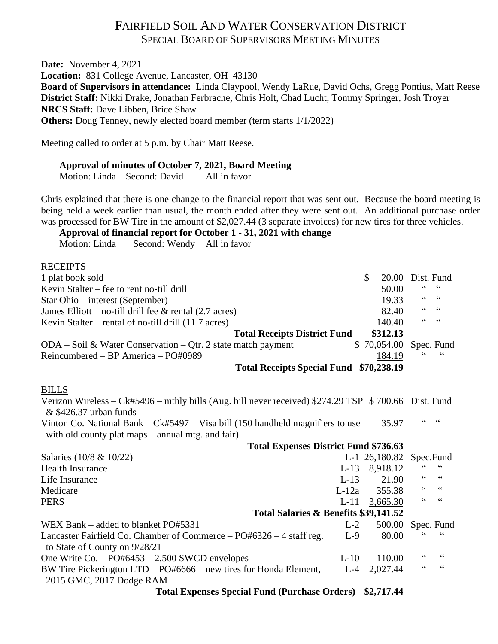# FAIRFIELD SOIL AND WATER CONSERVATION DISTRICT SPECIAL BOARD OF SUPERVISORS MEETING MINUTES

**Date:** November 4, 2021 **Location:** 831 College Avenue, Lancaster, OH 43130 **Board of Supervisors in attendance:** Linda Claypool, Wendy LaRue, David Ochs, Gregg Pontius, Matt Reese **District Staff:** Nikki Drake, Jonathan Ferbrache, Chris Holt, Chad Lucht, Tommy Springer, Josh Troyer **NRCS Staff:** Dave Libben, Brice Shaw **Others:** Doug Tenney, newly elected board member (term starts  $1/1/2022$ )

Meeting called to order at 5 p.m. by Chair Matt Reese.

#### **Approval of minutes of October 7, 2021, Board Meeting**

Motion: Linda Second: David All in favor

Chris explained that there is one change to the financial report that was sent out. Because the board meeting is being held a week earlier than usual, the month ended after they were sent out. An additional purchase order was processed for BW Tire in the amount of \$2,027.44 (3 separate invoices) for new tires for three vehicles.

**Approval of financial report for October 1 - 31, 2021 with change**

Motion: Linda Second: Wendy All in favor

**RECEIPTS** 

| RECEIPTS                                                                                                                              |         |                                                                                                                                                                                                                                                                                                                                                                                     |                                            |                          |  |  |
|---------------------------------------------------------------------------------------------------------------------------------------|---------|-------------------------------------------------------------------------------------------------------------------------------------------------------------------------------------------------------------------------------------------------------------------------------------------------------------------------------------------------------------------------------------|--------------------------------------------|--------------------------|--|--|
| 1 plat book sold                                                                                                                      |         | \$<br>20.00                                                                                                                                                                                                                                                                                                                                                                         | Dist. Fund                                 |                          |  |  |
| Kevin Stalter – fee to rent no-till drill                                                                                             |         | 50.00                                                                                                                                                                                                                                                                                                                                                                               |                                            | $\mbox{\bf G}$           |  |  |
| Star Ohio – interest (September)                                                                                                      |         | 19.33                                                                                                                                                                                                                                                                                                                                                                               | $\textsf{G}\,\textsf{G}$                   | $\,$ 6 6 $\,$            |  |  |
| James Elliott – no-till drill fee $\&$ rental (2.7 acres)                                                                             |         | 82.40                                                                                                                                                                                                                                                                                                                                                                               | $\!\!\!\zeta\,\zeta\!\!\!\zeta\!\!\!\zeta$ | $\textsf{G}\,\textsf{G}$ |  |  |
| Kevin Stalter – rental of no-till drill (11.7 acres)                                                                                  |         | 140.40                                                                                                                                                                                                                                                                                                                                                                              | $\zeta\,\zeta$                             | 66                       |  |  |
| <b>Total Receipts District Fund</b>                                                                                                   |         | \$312.13                                                                                                                                                                                                                                                                                                                                                                            |                                            |                          |  |  |
| $ODA - Soil \& Water Conservation - Qtr.$ 2 state match payment                                                                       |         | \$70,054.00                                                                                                                                                                                                                                                                                                                                                                         |                                            | Spec. Fund               |  |  |
| Reincumbered – BP America – PO#0989                                                                                                   |         | 184.19                                                                                                                                                                                                                                                                                                                                                                              |                                            |                          |  |  |
| Total Receipts Special Fund \$70,238.19                                                                                               |         |                                                                                                                                                                                                                                                                                                                                                                                     |                                            |                          |  |  |
|                                                                                                                                       |         |                                                                                                                                                                                                                                                                                                                                                                                     |                                            |                          |  |  |
| <b>BILLS</b>                                                                                                                          |         |                                                                                                                                                                                                                                                                                                                                                                                     |                                            |                          |  |  |
| Verizon Wireless – Ck#5496 – mthly bills (Aug. bill never received) \$274.29 TSP $$700.66$ Dist. Fund<br>$&$ \$426.37 urban funds     |         |                                                                                                                                                                                                                                                                                                                                                                                     |                                            |                          |  |  |
| Vinton Co. National Bank – $Ck#5497 - Visa bill$ (150 handheld magnifiers to use<br>with old county plat maps – annual mtg. and fair) |         | 35.97                                                                                                                                                                                                                                                                                                                                                                               |                                            |                          |  |  |
| <b>Total Expenses District Fund \$736.63</b>                                                                                          |         |                                                                                                                                                                                                                                                                                                                                                                                     |                                            |                          |  |  |
| Salaries (10/8 & 10/22)                                                                                                               |         | L-1 26,180.82 Spec.Fund                                                                                                                                                                                                                                                                                                                                                             |                                            |                          |  |  |
| <b>Health Insurance</b>                                                                                                               | $L-13$  | 8,918.12                                                                                                                                                                                                                                                                                                                                                                            |                                            |                          |  |  |
| Life Insurance                                                                                                                        | $L-13$  | 21.90                                                                                                                                                                                                                                                                                                                                                                               | $\textsf{G}\,\textsf{G}$                   | 66                       |  |  |
| Medicare                                                                                                                              | $L-12a$ | 355.38                                                                                                                                                                                                                                                                                                                                                                              | $\zeta$ $\zeta$                            | $\mbox{\bf G}$           |  |  |
| <b>PERS</b>                                                                                                                           | $L-11$  | 3,665.30                                                                                                                                                                                                                                                                                                                                                                            | $\zeta$ $\zeta$                            | 66                       |  |  |
| Total Salaries & Benefits \$39,141.52                                                                                                 |         |                                                                                                                                                                                                                                                                                                                                                                                     |                                            |                          |  |  |
| WEX Bank – added to blanket PO#5331                                                                                                   | $L-2$   | 500.00                                                                                                                                                                                                                                                                                                                                                                              |                                            | Spec. Fund               |  |  |
| Lancaster Fairfield Co. Chamber of Commerce – PO#6326 – 4 staff reg.<br>to State of County on 9/28/21                                 | $L-9$   | 80.00                                                                                                                                                                                                                                                                                                                                                                               |                                            |                          |  |  |
| One Write Co. $-$ PO#6453 $-$ 2,500 SWCD envelopes                                                                                    | $L-10$  | 110.00                                                                                                                                                                                                                                                                                                                                                                              | 66                                         | 66                       |  |  |
| BW Tire Pickerington LTD – PO#6666 – new tires for Honda Element,<br>2015 GMC, 2017 Dodge RAM                                         | $L-4$   | 2,027.44                                                                                                                                                                                                                                                                                                                                                                            | $\zeta$ $\zeta$                            | 66                       |  |  |
| $\alpha$ in $\alpha$ in $\alpha$ in                                                                                                   |         | $\bigwedge_{i=1}^{n} \bigwedge_{i=1}^{n} \bigwedge_{i=1}^{n} \bigwedge_{i=1}^{n} \bigwedge_{i=1}^{n} \bigwedge_{i=1}^{n} \bigwedge_{i=1}^{n} \bigwedge_{i=1}^{n} \bigwedge_{i=1}^{n} \bigwedge_{i=1}^{n} \bigwedge_{i=1}^{n} \bigwedge_{i=1}^{n} \bigwedge_{i=1}^{n} \bigwedge_{i=1}^{n} \bigwedge_{i=1}^{n} \bigwedge_{i=1}^{n} \bigwedge_{i=1}^{n} \bigwedge_{i=1}^{n} \bigwedge$ |                                            |                          |  |  |

 **Total Expenses Special Fund (Purchase Orders) \$2,717.44**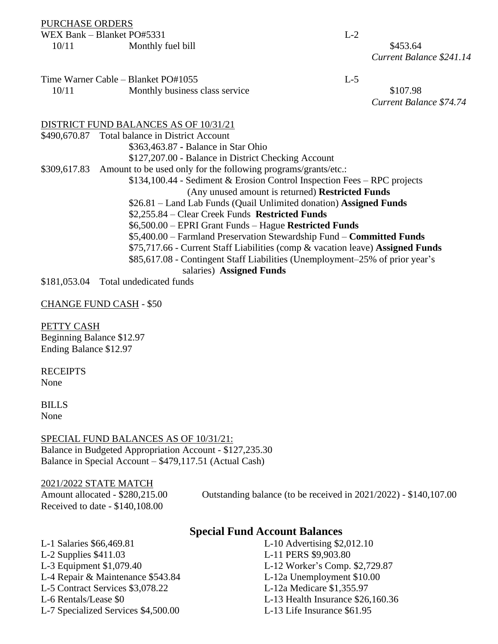#### PURCHASE ORDERS

WEX Bank – Blanket PO#5331 L-2

10/11 Monthly fuel bill \$453.64

*Current Balance \$241.14*

Time Warner Cable – Blanket PO#1055 L-5 10/11 Monthly business class service \$107.98

*Current Balance \$74.74*

## DISTRICT FUND BALANCES AS OF 10/31/21

|              | \$490,670.87 Total balance in District Account                                 |
|--------------|--------------------------------------------------------------------------------|
|              | \$363,463.87 - Balance in Star Ohio                                            |
|              | \$127,207.00 - Balance in District Checking Account                            |
| \$309,617.83 | Amount to be used only for the following programs/grants/etc.:                 |
|              | $$134,100.44$ - Sediment & Erosion Control Inspection Fees – RPC projects      |
|              | (Any unused amount is returned) Restricted Funds                               |
|              | \$26.81 – Land Lab Funds (Quail Unlimited donation) Assigned Funds             |
|              | \$2,255.84 – Clear Creek Funds Restricted Funds                                |
|              | \$6,500.00 – EPRI Grant Funds – Hague Restricted Funds                         |
|              | \$5,400.00 – Farmland Preservation Stewardship Fund – <b>Committed Funds</b>   |
|              | \$75,717.66 - Current Staff Liabilities (comp & vacation leave) Assigned Funds |
|              | \$85,617.08 - Contingent Staff Liabilities (Unemployment–25% of prior year's   |
|              | salaries) Assigned Funds                                                       |
|              | $\ell$ 191 052 04 Total undedicated funds                                      |

\$181,053.04 Total undedicated funds

## CHANGE FUND CASH - \$50

PETTY CASH Beginning Balance \$12.97 Ending Balance \$12.97

# **RECEIPTS**

None

BILLS None

## SPECIAL FUND BALANCES AS OF 10/31/21: Balance in Budgeted Appropriation Account - \$127,235.30 Balance in Special Account – \$479,117.51 (Actual Cash)

#### 2021/2022 STATE MATCH

Received to date - \$140,108.00

Amount allocated - \$280,215.00 Outstanding balance (to be received in 2021/2022) - \$140,107.00

# **Special Fund Account Balances**

- L-2 Supplies \$411.03 L-11 PERS \$9,903.80 L-3 Equipment \$1,079.40 L-12 Worker's Comp. \$2,729.87 L-4 Repair & Maintenance \$543.84 L-12a Unemployment \$10.00 L-5 Contract Services \$3,078.22 L-12a Medicare \$1,355.97 L-6 Rentals/Lease \$0 L-13 Health Insurance \$26,160.36
- L-1 Salaries \$66,469.81 L-10 Advertising \$2,012.10 L-7 Specialized Services \$4,500.00 L-13 Life Insurance \$61.95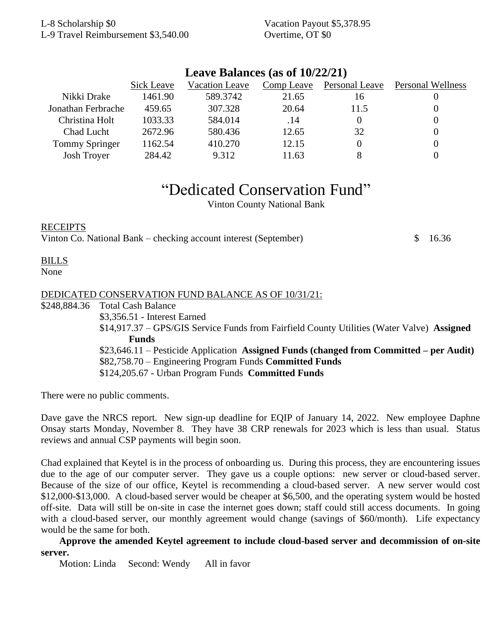| Leave Balances (as 01 10/22/21) |            |                       |            |                |                          |  |  |  |
|---------------------------------|------------|-----------------------|------------|----------------|--------------------------|--|--|--|
|                                 | Sick Leave | <b>Vacation Leave</b> | Comp Leave | Personal Leave | <b>Personal Wellness</b> |  |  |  |
| Nikki Drake                     | 1461.90    | 589.3742              | 21.65      | 16             |                          |  |  |  |
| Jonathan Ferbrache              | 459.65     | 307.328               | 20.64      | 11.5           |                          |  |  |  |
| Christina Holt                  | 1033.33    | 584.014               | .14        |                | 0                        |  |  |  |
| Chad Lucht                      | 2672.96    | 580.436               | 12.65      | 32             | 0                        |  |  |  |
| <b>Tommy Springer</b>           | 1162.54    | 410.270               | 12.15      |                | 0                        |  |  |  |
| <b>Josh Troyer</b>              | 284.42     | 9.312                 | 11.63      | 8              |                          |  |  |  |
|                                 |            |                       |            |                |                          |  |  |  |

# **Leave Balances (as of 10/22/21)**

# "Dedicated Conservation Fund"

Vinton County National Bank

## RECEIPTS

Vinton Co. National Bank – checking account interest (September) \$ 16.36

## BILLS

None

## DEDICATED CONSERVATION FUND BALANCE AS OF 10/31/21:

\$248,884.36 Total Cash Balance

\$3,356.51 - Interest Earned

\$14,917.37 – GPS/GIS Service Funds from Fairfield County Utilities (Water Valve) **Assigned Funds**

\$23,646.11 – Pesticide Application **Assigned Funds (changed from Committed – per Audit)** \$82,758.70 – Engineering Program Funds **Committed Funds**

\$124,205.67 - Urban Program Funds **Committed Funds**

There were no public comments.

Dave gave the NRCS report. New sign-up deadline for EQIP of January 14, 2022. New employee Daphne Onsay starts Monday, November 8. They have 38 CRP renewals for 2023 which is less than usual. Status reviews and annual CSP payments will begin soon.

Chad explained that Keytel is in the process of onboarding us. During this process, they are encountering issues due to the age of our computer server. They gave us a couple options: new server or cloud-based server. Because of the size of our office, Keytel is recommending a cloud-based server. A new server would cost \$12,000-\$13,000. A cloud-based server would be cheaper at \$6,500, and the operating system would be hosted off-site. Data will still be on-site in case the internet goes down; staff could still access documents. In going with a cloud-based server, our monthly agreement would change (savings of \$60/month). Life expectancy would be the same for both.

**Approve the amended Keytel agreement to include cloud-based server and decommission of on-site server.**

Motion: Linda Second: Wendy All in favor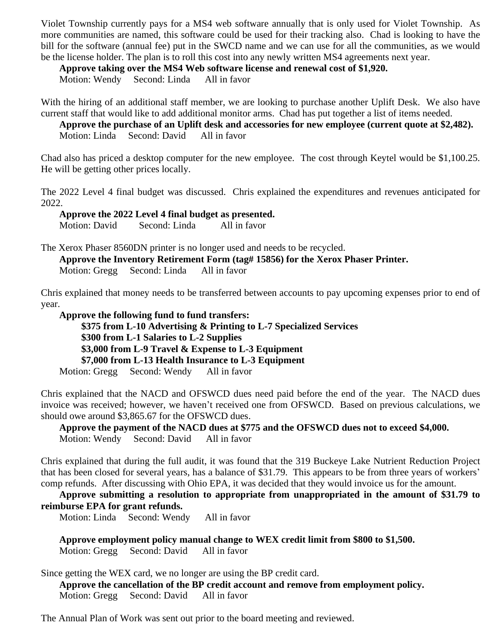Violet Township currently pays for a MS4 web software annually that is only used for Violet Township. As more communities are named, this software could be used for their tracking also. Chad is looking to have the bill for the software (annual fee) put in the SWCD name and we can use for all the communities, as we would be the license holder. The plan is to roll this cost into any newly written MS4 agreements next year.

**Approve taking over the MS4 Web software license and renewal cost of \$1,920.**

Motion: Wendy Second: Linda All in favor

With the hiring of an additional staff member, we are looking to purchase another Uplift Desk. We also have current staff that would like to add additional monitor arms. Chad has put together a list of items needed.

**Approve the purchase of an Uplift desk and accessories for new employee (current quote at \$2,482).**

Motion: Linda Second: David All in favor

Chad also has priced a desktop computer for the new employee. The cost through Keytel would be \$1,100.25. He will be getting other prices locally.

The 2022 Level 4 final budget was discussed. Chris explained the expenditures and revenues anticipated for 2022.

**Approve the 2022 Level 4 final budget as presented.** Motion: David Second: Linda All in favor

The Xerox Phaser 8560DN printer is no longer used and needs to be recycled. **Approve the Inventory Retirement Form (tag# 15856) for the Xerox Phaser Printer.** Motion: Gregg Second: Linda All in favor

Chris explained that money needs to be transferred between accounts to pay upcoming expenses prior to end of year.

**Approve the following fund to fund transfers: \$375 from L-10 Advertising & Printing to L-7 Specialized Services \$300 from L-1 Salaries to L-2 Supplies \$3,000 from L-9 Travel & Expense to L-3 Equipment \$7,000 from L-13 Health Insurance to L-3 Equipment** Motion: Gregg Second: Wendy All in favor

Chris explained that the NACD and OFSWCD dues need paid before the end of the year. The NACD dues invoice was received; however, we haven't received one from OFSWCD. Based on previous calculations, we should owe around \$3,865.67 for the OFSWCD dues.

**Approve the payment of the NACD dues at \$775 and the OFSWCD dues not to exceed \$4,000.** Motion: Wendy Second: David All in favor

Chris explained that during the full audit, it was found that the 319 Buckeye Lake Nutrient Reduction Project that has been closed for several years, has a balance of \$31.79. This appears to be from three years of workers' comp refunds. After discussing with Ohio EPA, it was decided that they would invoice us for the amount.

**Approve submitting a resolution to appropriate from unappropriated in the amount of \$31.79 to reimburse EPA for grant refunds.**

Motion: Linda Second: Wendy All in favor

**Approve employment policy manual change to WEX credit limit from \$800 to \$1,500.** Motion: Gregg Second: David All in favor

Since getting the WEX card, we no longer are using the BP credit card.

**Approve the cancellation of the BP credit account and remove from employment policy.** Motion: Gregg Second: David All in favor

The Annual Plan of Work was sent out prior to the board meeting and reviewed.